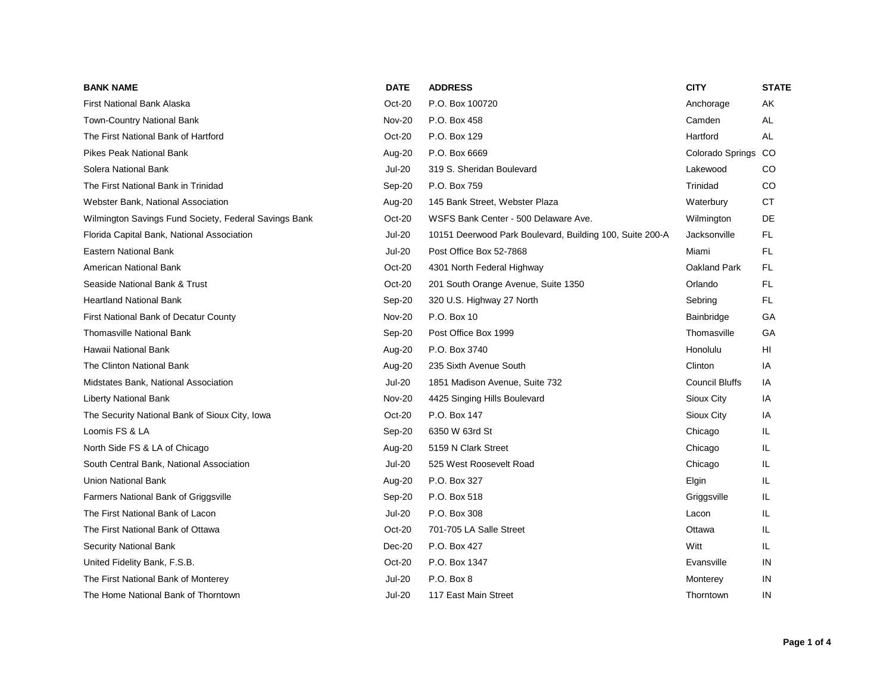| <b>BANK NAME</b>                                      | <b>DATE</b>   | <b>ADDRESS</b>                                           | <b>CITY</b>           | <b>STATE</b> |
|-------------------------------------------------------|---------------|----------------------------------------------------------|-----------------------|--------------|
| First National Bank Alaska                            | $Oct-20$      | P.O. Box 100720                                          | Anchorage             | AK           |
| Town-Country National Bank                            | <b>Nov-20</b> | P.O. Box 458                                             | Camden                | AL           |
| The First National Bank of Hartford                   | Oct-20        | P.O. Box 129                                             | Hartford              | AL           |
| Pikes Peak National Bank                              | Aug-20        | P.O. Box 6669                                            | Colorado Springs      | CO           |
| Solera National Bank                                  | <b>Jul-20</b> | 319 S. Sheridan Boulevard                                | Lakewood              | CO           |
| The First National Bank in Trinidad                   | Sep-20        | P.O. Box 759                                             | Trinidad              | CO           |
| Webster Bank, National Association                    | Aug-20        | 145 Bank Street, Webster Plaza                           | Waterbury             | <b>CT</b>    |
| Wilmington Savings Fund Society, Federal Savings Bank | $Oct-20$      | WSFS Bank Center - 500 Delaware Ave.                     | Wilmington            | DE           |
| Florida Capital Bank, National Association            | <b>Jul-20</b> | 10151 Deerwood Park Boulevard, Building 100, Suite 200-A | Jacksonville          | FL.          |
| Eastern National Bank                                 | <b>Jul-20</b> | Post Office Box 52-7868                                  | Miami                 | FL.          |
| American National Bank                                | Oct-20        | 4301 North Federal Highway                               | Oakland Park          | FL.          |
| Seaside National Bank & Trust                         | Oct-20        | 201 South Orange Avenue, Suite 1350                      | Orlando               | FL.          |
| <b>Heartland National Bank</b>                        | Sep-20        | 320 U.S. Highway 27 North                                | Sebring               | FL.          |
| First National Bank of Decatur County                 | <b>Nov-20</b> | P.O. Box 10                                              | Bainbridge            | GA           |
| <b>Thomasville National Bank</b>                      | Sep-20        | Post Office Box 1999                                     | Thomasville           | GA           |
| Hawaii National Bank                                  | Aug-20        | P.O. Box 3740                                            | Honolulu              | HI           |
| The Clinton National Bank                             | Aug-20        | 235 Sixth Avenue South                                   | Clinton               | IA           |
| Midstates Bank, National Association                  | <b>Jul-20</b> | 1851 Madison Avenue, Suite 732                           | <b>Council Bluffs</b> | IA           |
| Liberty National Bank                                 | <b>Nov-20</b> | 4425 Singing Hills Boulevard                             | Sioux City            | IA           |
| The Security National Bank of Sioux City, Iowa        | Oct-20        | P.O. Box 147                                             | Sioux City            | IA           |
| Loomis FS & LA                                        | Sep-20        | 6350 W 63rd St                                           | Chicago               | IL           |
| North Side FS & LA of Chicago                         | Aug-20        | 5159 N Clark Street                                      | Chicago               | IL           |
| South Central Bank, National Association              | <b>Jul-20</b> | 525 West Roosevelt Road                                  | Chicago               | IL           |
| Union National Bank                                   | Aug-20        | P.O. Box 327                                             | Elgin                 | IL           |
| Farmers National Bank of Griggsville                  | Sep-20        | P.O. Box 518                                             | Griggsville           | IL           |
| The First National Bank of Lacon                      | <b>Jul-20</b> | P.O. Box 308                                             | Lacon                 | IL           |
| The First National Bank of Ottawa                     | Oct-20        | 701-705 LA Salle Street                                  | Ottawa                | IL           |
| <b>Security National Bank</b>                         | Dec-20        | P.O. Box 427                                             | Witt                  | IL           |
| United Fidelity Bank, F.S.B.                          | Oct-20        | P.O. Box 1347                                            | Evansville            | IN           |
| The First National Bank of Monterey                   | <b>Jul-20</b> | P.O. Box 8                                               | Monterey              | IN           |
| The Home National Bank of Thorntown                   | <b>Jul-20</b> | 117 East Main Street                                     | Thorntown             | IN           |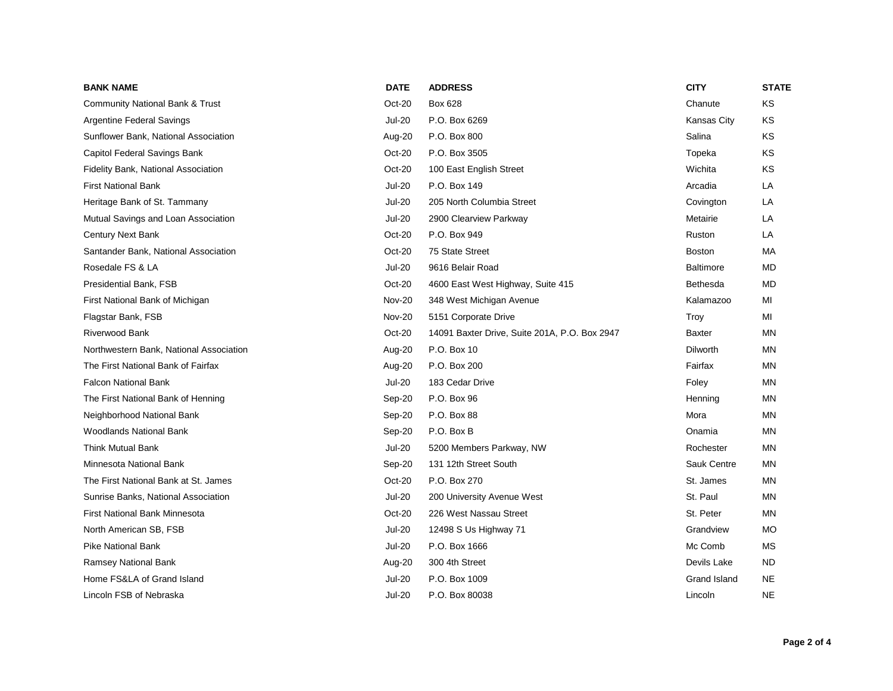| <b>BANK NAME</b>                           | <b>DATE</b>   | <b>ADDRESS</b>                                | <b>CITY</b>      | <b>STATE</b> |
|--------------------------------------------|---------------|-----------------------------------------------|------------------|--------------|
| <b>Community National Bank &amp; Trust</b> | Oct-20        | Box 628                                       | Chanute          | KS           |
| Argentine Federal Savings                  | <b>Jul-20</b> | P.O. Box 6269                                 | Kansas City      | KS           |
| Sunflower Bank, National Association       | Aug-20        | P.O. Box 800                                  | Salina           | KS           |
| Capitol Federal Savings Bank               | Oct-20        | P.O. Box 3505                                 | Topeka           | KS           |
| <b>Fidelity Bank, National Association</b> | Oct-20        | 100 East English Street                       | Wichita          | KS           |
| <b>First National Bank</b>                 | <b>Jul-20</b> | P.O. Box 149                                  | Arcadia          | LA           |
| Heritage Bank of St. Tammany               | <b>Jul-20</b> | 205 North Columbia Street                     | Covington        | LA           |
| Mutual Savings and Loan Association        | <b>Jul-20</b> | 2900 Clearview Parkway                        | Metairie         | LA           |
| Century Next Bank                          | Oct-20        | P.O. Box 949                                  | Ruston           | LA           |
| Santander Bank, National Association       | Oct-20        | 75 State Street                               | <b>Boston</b>    | MA           |
| Rosedale FS & LA                           | <b>Jul-20</b> | 9616 Belair Road                              | <b>Baltimore</b> | MD           |
| Presidential Bank, FSB                     | Oct-20        | 4600 East West Highway, Suite 415             | Bethesda         | <b>MD</b>    |
| First National Bank of Michigan            | <b>Nov-20</b> | 348 West Michigan Avenue                      | Kalamazoo        | MI           |
| Flagstar Bank, FSB                         | <b>Nov-20</b> | 5151 Corporate Drive                          | Troy             | MI           |
| <b>Riverwood Bank</b>                      | $Oct-20$      | 14091 Baxter Drive, Suite 201A, P.O. Box 2947 | Baxter           | ΜN           |
| Northwestern Bank, National Association    | Aug-20        | P.O. Box 10                                   | <b>Dilworth</b>  | MN           |
| The First National Bank of Fairfax         | Aug-20        | P.O. Box 200                                  | Fairfax          | ΜN           |
| <b>Falcon National Bank</b>                | <b>Jul-20</b> | 183 Cedar Drive                               | Foley            | MN           |
| The First National Bank of Henning         | Sep-20        | P.O. Box 96                                   | Henning          | ΜN           |
| Neighborhood National Bank                 | Sep-20        | P.O. Box 88                                   | Mora             | ΜN           |
| <b>Woodlands National Bank</b>             | Sep-20        | P.O. Box B                                    | Onamia           | MN           |
| <b>Think Mutual Bank</b>                   | <b>Jul-20</b> | 5200 Members Parkway, NW                      | Rochester        | ΜN           |
| Minnesota National Bank                    | Sep-20        | 131 12th Street South                         | Sauk Centre      | ΜN           |
| The First National Bank at St. James       | Oct-20        | P.O. Box 270                                  | St. James        | ΜN           |
| Sunrise Banks, National Association        | <b>Jul-20</b> | 200 University Avenue West                    | St. Paul         | ΜN           |
| First National Bank Minnesota              | Oct-20        | 226 West Nassau Street                        | St. Peter        | ΜN           |
| North American SB, FSB                     | <b>Jul-20</b> | 12498 S Us Highway 71                         | Grandview        | <b>MO</b>    |
| <b>Pike National Bank</b>                  | <b>Jul-20</b> | P.O. Box 1666                                 | Mc Comb          | MS           |
| Ramsey National Bank                       | Aug-20        | 300 4th Street                                | Devils Lake      | <b>ND</b>    |
| Home FS&LA of Grand Island                 | <b>Jul-20</b> | P.O. Box 1009                                 | Grand Island     | NE           |
| Lincoln FSB of Nebraska                    | <b>Jul-20</b> | P.O. Box 80038                                | Lincoln          | <b>NE</b>    |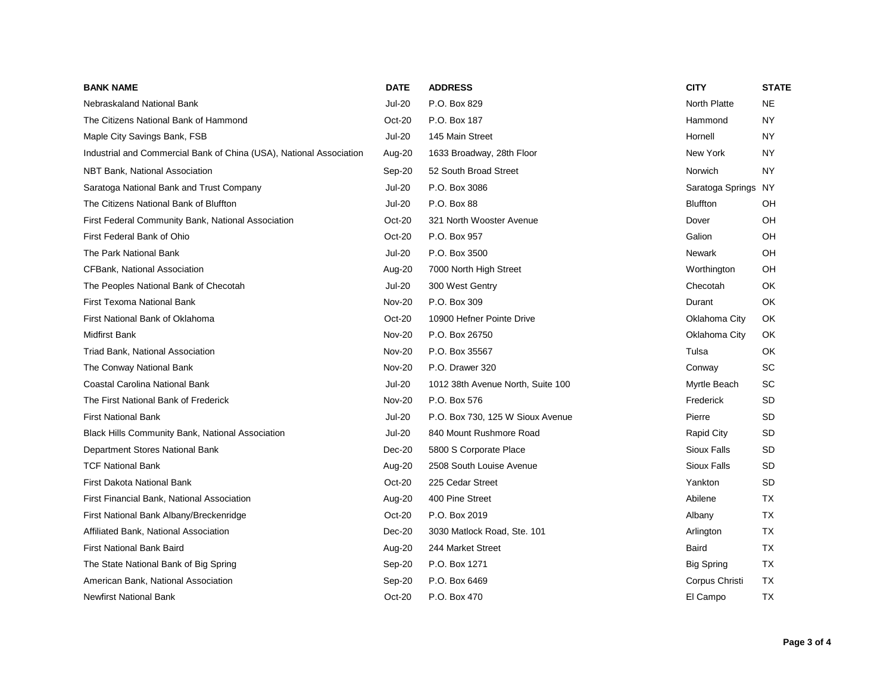| <b>BANK NAME</b>                                                    | <b>DATE</b>   | <b>ADDRESS</b>                    | <b>CITY</b>         | <b>STATE</b> |
|---------------------------------------------------------------------|---------------|-----------------------------------|---------------------|--------------|
| Nebraskaland National Bank                                          | <b>Jul-20</b> | P.O. Box 829                      | <b>North Platte</b> | <b>NE</b>    |
| The Citizens National Bank of Hammond                               | Oct-20        | P.O. Box 187                      | Hammond             | <b>NY</b>    |
| Maple City Savings Bank, FSB                                        | <b>Jul-20</b> | 145 Main Street                   | Hornell             | NY           |
| Industrial and Commercial Bank of China (USA), National Association | Aug-20        | 1633 Broadway, 28th Floor         | New York            | NY           |
| <b>NBT Bank, National Association</b>                               | Sep-20        | 52 South Broad Street             | Norwich             | <b>NY</b>    |
| Saratoga National Bank and Trust Company                            | <b>Jul-20</b> | P.O. Box 3086                     | Saratoga Springs NY |              |
| The Citizens National Bank of Bluffton                              | <b>Jul-20</b> | P.O. Box 88                       | <b>Bluffton</b>     | OH           |
| First Federal Community Bank, National Association                  | Oct-20        | 321 North Wooster Avenue          | Dover               | OH           |
| First Federal Bank of Ohio                                          | Oct-20        | P.O. Box 957                      | Galion              | OН           |
| The Park National Bank                                              | <b>Jul-20</b> | P.O. Box 3500                     | Newark              | OH           |
| <b>CFBank, National Association</b>                                 | Aug-20        | 7000 North High Street            | Worthington         | OН           |
| The Peoples National Bank of Checotah                               | <b>Jul-20</b> | 300 West Gentry                   | Checotah            | OK           |
| First Texoma National Bank                                          | <b>Nov-20</b> | P.O. Box 309                      | Durant              | OK           |
| First National Bank of Oklahoma                                     | Oct-20        | 10900 Hefner Pointe Drive         | Oklahoma City       | 0K           |
| <b>Midfirst Bank</b>                                                | <b>Nov-20</b> | P.O. Box 26750                    | Oklahoma City       | OK           |
| Triad Bank, National Association                                    | <b>Nov-20</b> | P.O. Box 35567                    | Tulsa               | OK           |
| The Conway National Bank                                            | <b>Nov-20</b> | P.O. Drawer 320                   | Conway              | SC           |
| Coastal Carolina National Bank                                      | <b>Jul-20</b> | 1012 38th Avenue North, Suite 100 | Myrtle Beach        | SC           |
| The First National Bank of Frederick                                | <b>Nov-20</b> | P.O. Box 576                      | Frederick           | SD           |
| <b>First National Bank</b>                                          | <b>Jul-20</b> | P.O. Box 730, 125 W Sioux Avenue  | Pierre              | <b>SD</b>    |
| <b>Black Hills Community Bank, National Association</b>             | <b>Jul-20</b> | 840 Mount Rushmore Road           | Rapid City          | <b>SD</b>    |
| Department Stores National Bank                                     | Dec-20        | 5800 S Corporate Place            | <b>Sioux Falls</b>  | <b>SD</b>    |
| <b>TCF National Bank</b>                                            | Aug-20        | 2508 South Louise Avenue          | <b>Sioux Falls</b>  | <b>SD</b>    |
| First Dakota National Bank                                          | Oct-20        | 225 Cedar Street                  | Yankton             | SD           |
| First Financial Bank, National Association                          | Aug-20        | 400 Pine Street                   | Abilene             | TX           |
| First National Bank Albany/Breckenridge                             | Oct-20        | P.O. Box 2019                     | Albany              | ТX           |
| Affiliated Bank, National Association                               | Dec-20        | 3030 Matlock Road, Ste. 101       | Arlington           | <b>TX</b>    |
| <b>First National Bank Baird</b>                                    | Aug-20        | 244 Market Street                 | Baird               | TX           |
| The State National Bank of Big Spring                               | Sep-20        | P.O. Box 1271                     | <b>Big Spring</b>   | TX           |
| American Bank, National Association                                 | Sep-20        | P.O. Box 6469                     | Corpus Christi      | TX           |
| <b>Newfirst National Bank</b>                                       | Oct-20        | P.O. Box 470                      | El Campo            | ТX           |